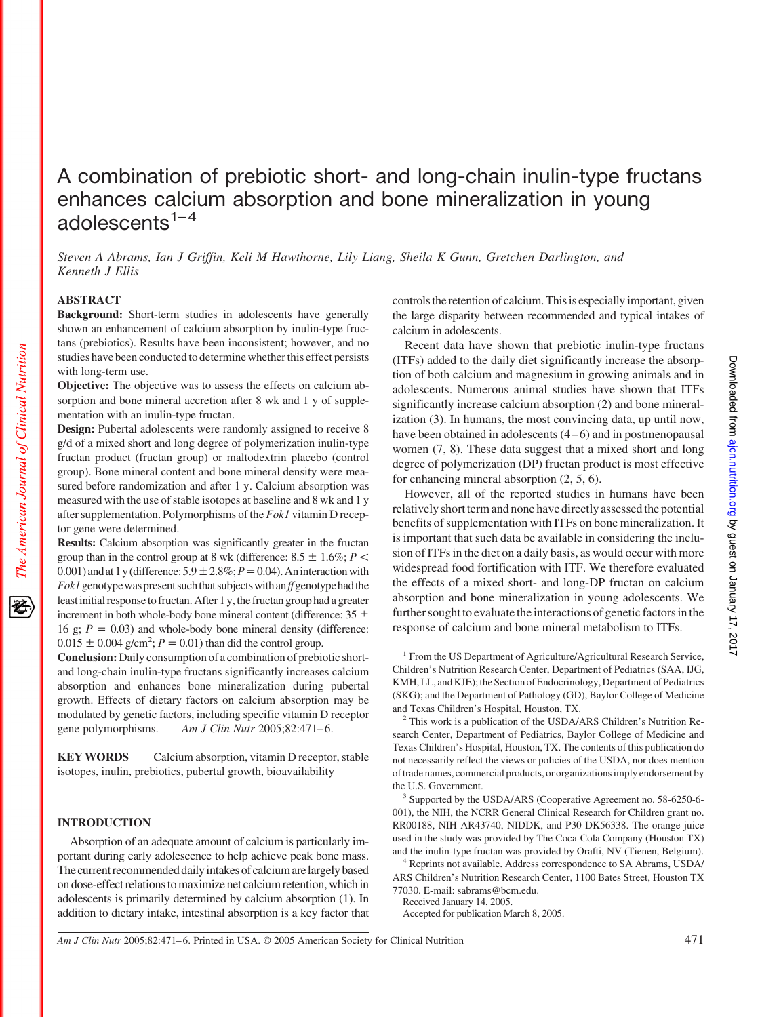# A combination of prebiotic short- and long-chain inulin-type fructans enhances calcium absorption and bone mineralization in young adolescents $1-4$

*Steven A Abrams, Ian J Griffin, Keli M Hawthorne, Lily Liang, Sheila K Gunn, Gretchen Darlington, and Kenneth J Ellis*

# **ABSTRACT**

**Background:** Short-term studies in adolescents have generally shown an enhancement of calcium absorption by inulin-type fructans (prebiotics). Results have been inconsistent; however, and no studies have been conducted to determine whether this effect persists with long-term use.

**Objective:** The objective was to assess the effects on calcium absorption and bone mineral accretion after 8 wk and 1 y of supplementation with an inulin-type fructan.

**Design:** Pubertal adolescents were randomly assigned to receive 8 g/d of a mixed short and long degree of polymerization inulin-type fructan product (fructan group) or maltodextrin placebo (control group). Bone mineral content and bone mineral density were measured before randomization and after 1 y. Calcium absorption was measured with the use of stable isotopes at baseline and 8 wk and 1 y after supplementation. Polymorphisms of the *Fok1* vitamin D receptor gene were determined.

**Results:** Calcium absorption was significantly greater in the fructan group than in the control group at 8 wk (difference:  $8.5 \pm 1.6\%$ ;  $P \leq$ 0.001) and at 1 y (difference:  $5.9 \pm 2.8\%$ ;  $P = 0.04$ ). An interaction with *Fok1* genotype was present such that subjects with an *ff* genotype had the least initial response to fructan. After 1 y, the fructan group had a greater increment in both whole-body bone mineral content (difference:  $35 \pm$ 16 g;  $P = 0.03$ ) and whole-body bone mineral density (difference:  $0.015 \pm 0.004$  g/cm<sup>2</sup>;  $P = 0.01$ ) than did the control group.

**Conclusion:** Daily consumption of a combination of prebiotic shortand long-chain inulin-type fructans significantly increases calcium absorption and enhances bone mineralization during pubertal growth. Effects of dietary factors on calcium absorption may be modulated by genetic factors, including specific vitamin D receptor gene polymorphisms. *Am J Clin Nutr* 2005;82:471-6.

**KEY WORDS** Calcium absorption, vitamin D receptor, stable isotopes, inulin, prebiotics, pubertal growth, bioavailability

## **INTRODUCTION**

Absorption of an adequate amount of calcium is particularly important during early adolescence to help achieve peak bone mass. The current recommended daily intakes of calcium are largely based on dose-effect relationsto maximize net calcium retention, whichin adolescents is primarily determined by calcium absorption (1). In addition to dietary intake, intestinal absorption is a key factor that controls the retention of calcium. This is especially important, given the large disparity between recommended and typical intakes of calcium in adolescents.

Recent data have shown that prebiotic inulin-type fructans (ITFs) added to the daily diet significantly increase the absorption of both calcium and magnesium in growing animals and in adolescents. Numerous animal studies have shown that ITFs significantly increase calcium absorption (2) and bone mineralization (3). In humans, the most convincing data, up until now, have been obtained in adolescents  $(4-6)$  and in postmenopausal women (7, 8). These data suggest that a mixed short and long degree of polymerization (DP) fructan product is most effective for enhancing mineral absorption (2, 5, 6).

However, all of the reported studies in humans have been relatively short term and none have directly assessed the potential benefits of supplementation with ITFs on bone mineralization. It is important that such data be available in considering the inclusion of ITFs in the diet on a daily basis, as would occur with more widespread food fortification with ITF. We therefore evaluated the effects of a mixed short- and long-DP fructan on calcium absorption and bone mineralization in young adolescents. We further sought to evaluate the interactions of genetic factors in the response of calcium and bone mineral metabolism to ITFs.

Accepted for publication March 8, 2005.

Downloaded from ajon.nutrition.org by guest on January 17, 2017 by guest on January 17, 2017 [ajcn.nutrition.org](http://ajcn.nutrition.org/) Downloaded from

*Am J Clin Nutr* 2005;82:471– 6. Printed in USA. © 2005 American Society for Clinical Nutrition 471

<sup>&</sup>lt;sup>1</sup> From the US Department of Agriculture/Agricultural Research Service, Children's Nutrition Research Center, Department of Pediatrics (SAA, IJG, KMH, LL, and KJE); the Section of Endocrinology, Department of Pediatrics (SKG); and the Department of Pathology (GD), Baylor College of Medicine and Texas Children's Hospital, Houston, TX.

<sup>2</sup> This work is a publication of the USDA/ARS Children's Nutrition Research Center, Department of Pediatrics, Baylor College of Medicine and Texas Children's Hospital, Houston, TX. The contents of this publication do not necessarily reflect the views or policies of the USDA, nor does mention of trade names, commercial products, or organizations imply endorsement by the U.S. Government.

<sup>3</sup> Supported by the USDA/ARS (Cooperative Agreement no. 58-6250-6- 001), the NIH, the NCRR General Clinical Research for Children grant no. RR00188, NIH AR43740, NIDDK, and P30 DK56338. The orange juice used in the study was provided by The Coca-Cola Company (Houston TX) and the inulin-type fructan was provided by Orafti, NV (Tienen, Belgium).

<sup>4</sup> Reprints not available. Address correspondence to SA Abrams, USDA/ ARS Children's Nutrition Research Center, 1100 Bates Street, Houston TX 77030. E-mail: sabrams@bcm.edu.

Received January 14, 2005.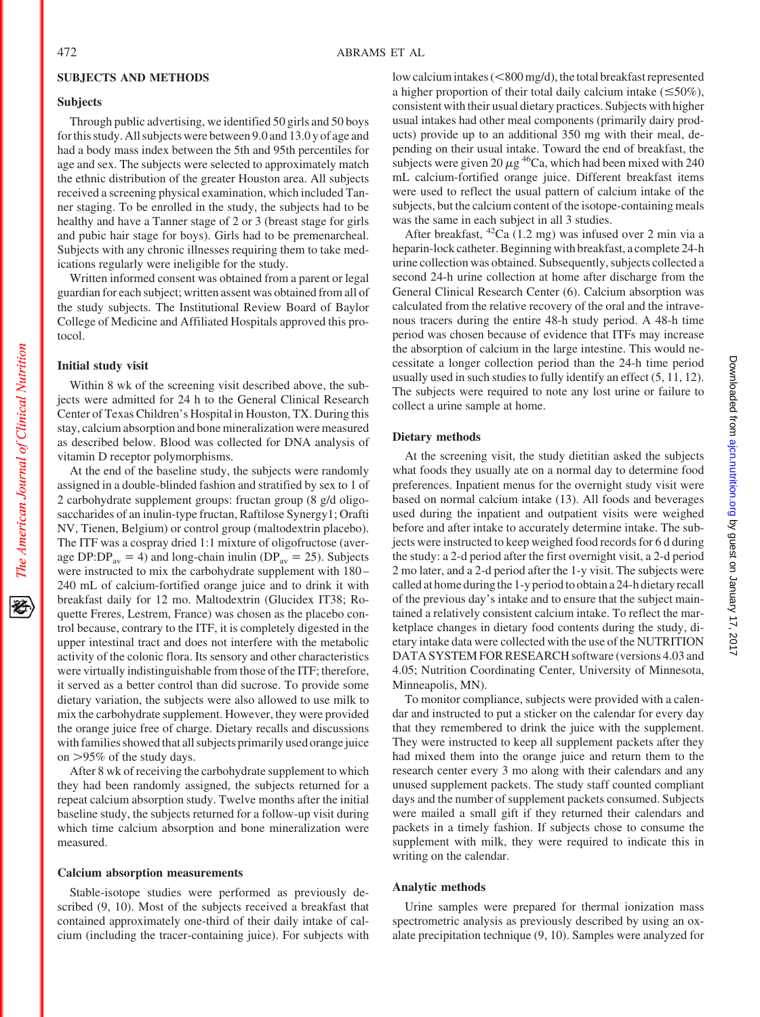## **SUBJECTS AND METHODS**

## **Subjects**

Through public advertising, we identified 50 girls and 50 boys for this study. All subjects were between 9.0 and 13.0 y of age and had a body mass index between the 5th and 95th percentiles for age and sex. The subjects were selected to approximately match the ethnic distribution of the greater Houston area. All subjects received a screening physical examination, which included Tanner staging. To be enrolled in the study, the subjects had to be healthy and have a Tanner stage of 2 or 3 (breast stage for girls and pubic hair stage for boys). Girls had to be premenarcheal. Subjects with any chronic illnesses requiring them to take medications regularly were ineligible for the study.

Written informed consent was obtained from a parent or legal guardian for each subject; written assent was obtained from all of the study subjects. The Institutional Review Board of Baylor College of Medicine and Affiliated Hospitals approved this protocol.

## **Initial study visit**

The American Journal of Clinical Nutrition

Within 8 wk of the screening visit described above, the subjects were admitted for 24 h to the General Clinical Research Center of Texas Children's Hospital in Houston, TX. During this stay, calcium absorption and bone mineralization were measured as described below. Blood was collected for DNA analysis of vitamin D receptor polymorphisms.

At the end of the baseline study, the subjects were randomly assigned in a double-blinded fashion and stratified by sex to 1 of 2 carbohydrate supplement groups: fructan group (8 g/d oligosaccharides of an inulin-type fructan, Raftilose Synergy1; Orafti NV, Tienen, Belgium) or control group (maltodextrin placebo). The ITF was a cospray dried 1:1 mixture of oligofructose (average DP:DP<sub>av</sub> = 4) and long-chain inulin (DP<sub>av</sub> = 25). Subjects were instructed to mix the carbohydrate supplement with 180 – 240 mL of calcium-fortified orange juice and to drink it with breakfast daily for 12 mo. Maltodextrin (Glucidex IT38; Roquette Freres, Lestrem, France) was chosen as the placebo control because, contrary to the ITF, it is completely digested in the upper intestinal tract and does not interfere with the metabolic activity of the colonic flora. Its sensory and other characteristics were virtually indistinguishable from those of the ITF; therefore, it served as a better control than did sucrose. To provide some dietary variation, the subjects were also allowed to use milk to mix the carbohydrate supplement. However, they were provided the orange juice free of charge. Dietary recalls and discussions with families showed that all subjects primarily used orange juice on 95% of the study days.

After 8 wk of receiving the carbohydrate supplement to which they had been randomly assigned, the subjects returned for a repeat calcium absorption study. Twelve months after the initial baseline study, the subjects returned for a follow-up visit during which time calcium absorption and bone mineralization were measured.

## **Calcium absorption measurements**

Stable-isotope studies were performed as previously described (9, 10). Most of the subjects received a breakfast that contained approximately one-third of their daily intake of calcium (including the tracer-containing juice). For subjects with

low calcium intakes (<800 mg/d), the total breakfast represented a higher proportion of their total daily calcium intake  $(\leq 50\%)$ , consistent with their usual dietary practices. Subjects with higher usual intakes had other meal components (primarily dairy products) provide up to an additional 350 mg with their meal, depending on their usual intake. Toward the end of breakfast, the subjects were given 20  $\mu$ g<sup>46</sup>Ca, which had been mixed with 240 mL calcium-fortified orange juice. Different breakfast items were used to reflect the usual pattern of calcium intake of the subjects, but the calcium content of the isotope-containing meals was the same in each subject in all 3 studies.

After breakfast,  $^{42}Ca$  (1.2 mg) was infused over 2 min via a heparin-lock catheter. Beginning with breakfast, a complete 24-h urine collection was obtained. Subsequently, subjects collected a second 24-h urine collection at home after discharge from the General Clinical Research Center (6). Calcium absorption was calculated from the relative recovery of the oral and the intravenous tracers during the entire 48-h study period. A 48-h time period was chosen because of evidence that ITFs may increase the absorption of calcium in the large intestine. This would necessitate a longer collection period than the 24-h time period usually used in such studies to fully identify an effect (5, 11, 12). The subjects were required to note any lost urine or failure to collect a urine sample at home.

#### **Dietary methods**

At the screening visit, the study dietitian asked the subjects what foods they usually ate on a normal day to determine food preferences. Inpatient menus for the overnight study visit were based on normal calcium intake (13). All foods and beverages used during the inpatient and outpatient visits were weighed before and after intake to accurately determine intake. The subjects were instructed to keep weighed food records for 6 d during the study: a 2-d period after the first overnight visit, a 2-d period 2 mo later, and a 2-d period after the 1-y visit. The subjects were called at home during the 1-y period to obtain a 24-h dietary recall of the previous day's intake and to ensure that the subject maintained a relatively consistent calcium intake. To reflect the marketplace changes in dietary food contents during the study, dietary intake data were collected with the use of the NUTRITION DATA SYSTEM FOR RESEARCH software (versions 4.03 and 4.05; Nutrition Coordinating Center, University of Minnesota, Minneapolis, MN).

To monitor compliance, subjects were provided with a calendar and instructed to put a sticker on the calendar for every day that they remembered to drink the juice with the supplement. They were instructed to keep all supplement packets after they had mixed them into the orange juice and return them to the research center every 3 mo along with their calendars and any unused supplement packets. The study staff counted compliant days and the number of supplement packets consumed. Subjects were mailed a small gift if they returned their calendars and packets in a timely fashion. If subjects chose to consume the supplement with milk, they were required to indicate this in writing on the calendar.

#### **Analytic methods**

Urine samples were prepared for thermal ionization mass spectrometric analysis as previously described by using an oxalate precipitation technique (9, 10). Samples were analyzed for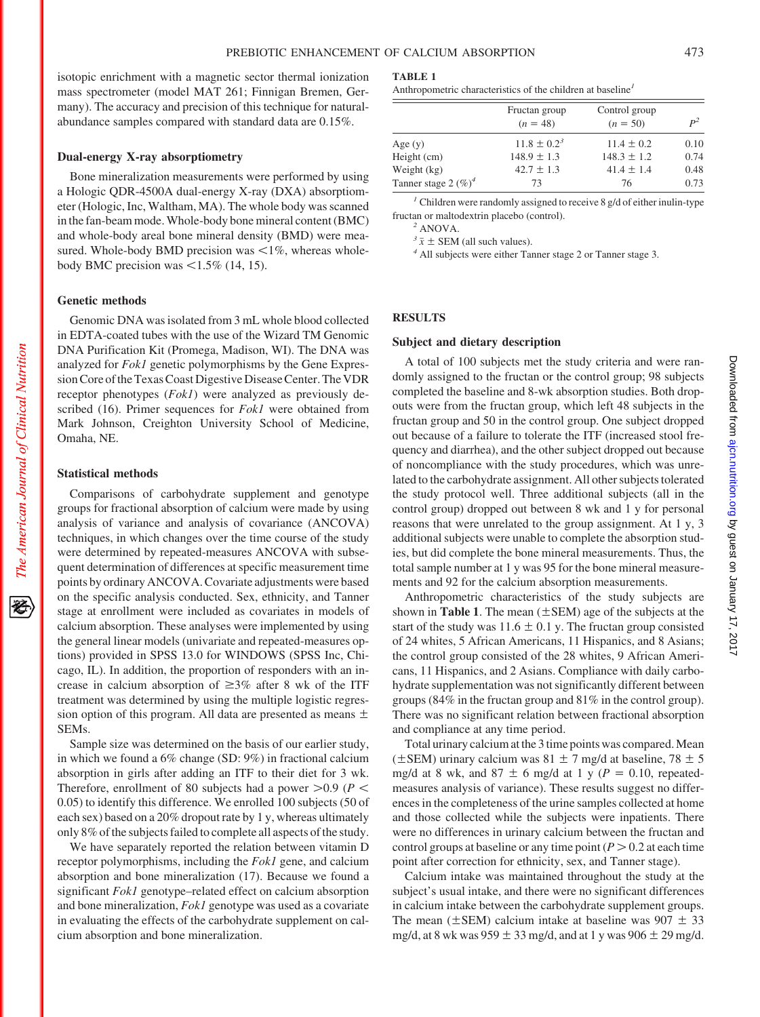isotopic enrichment with a magnetic sector thermal ionization mass spectrometer (model MAT 261; Finnigan Bremen, Germany). The accuracy and precision of this technique for naturalabundance samples compared with standard data are 0.15%.

## **Dual-energy X-ray absorptiometry**

Bone mineralization measurements were performed by using a Hologic QDR-4500A dual-energy X-ray (DXA) absorptiometer (Hologic, Inc, Waltham, MA). The whole body was scanned in the fan-beam mode.Whole-body bone mineral content (BMC) and whole-body areal bone mineral density (BMD) were measured. Whole-body BMD precision was  $\leq 1\%$ , whereas wholebody BMC precision was  $\leq 1.5\%$  (14, 15).

#### **Genetic methods**

Genomic DNA was isolated from 3 mL whole blood collected in EDTA-coated tubes with the use of the Wizard TM Genomic DNA Purification Kit (Promega, Madison, WI). The DNA was analyzed for *Fok1* genetic polymorphisms by the Gene Expression Core of the Texas Coast Digestive Disease Center. The VDR receptor phenotypes (*Fok1*) were analyzed as previously described (16). Primer sequences for *Fok1* were obtained from Mark Johnson, Creighton University School of Medicine, Omaha, NE.

#### **Statistical methods**

Comparisons of carbohydrate supplement and genotype groups for fractional absorption of calcium were made by using analysis of variance and analysis of covariance (ANCOVA) techniques, in which changes over the time course of the study were determined by repeated-measures ANCOVA with subsequent determination of differences at specific measurement time points by ordinary ANCOVA. Covariate adjustments were based on the specific analysis conducted. Sex, ethnicity, and Tanner stage at enrollment were included as covariates in models of calcium absorption. These analyses were implemented by using the general linear models (univariate and repeated-measures options) provided in SPSS 13.0 for WINDOWS (SPSS Inc, Chicago, IL). In addition, the proportion of responders with an increase in calcium absorption of  $\geq 3\%$  after 8 wk of the ITF treatment was determined by using the multiple logistic regression option of this program. All data are presented as means  $\pm$ SEMs.

Sample size was determined on the basis of our earlier study, in which we found a 6% change (SD: 9%) in fractional calcium absorption in girls after adding an ITF to their diet for 3 wk. Therefore, enrollment of 80 subjects had a power  $>0.9$  ( $P <$ 0.05) to identify this difference. We enrolled 100 subjects (50 of each sex) based on a 20% dropout rate by 1 y, whereas ultimately only 8% of the subjects failed to complete all aspects of the study.

We have separately reported the relation between vitamin D receptor polymorphisms, including the *Fok1* gene, and calcium absorption and bone mineralization (17). Because we found a significant *Fok1* genotype–related effect on calcium absorption and bone mineralization, *Fok1* genotype was used as a covariate in evaluating the effects of the carbohydrate supplement on calcium absorption and bone mineralization.

#### **TABLE 1**

Anthropometric characteristics of the children at baseline*<sup>1</sup>*

|                         | Fructan group<br>$(n = 48)$ | Control group<br>$(n = 50)$ | $P^2$ |
|-------------------------|-----------------------------|-----------------------------|-------|
| Age $(y)$               | $11.8 \pm 0.2^3$            | $11.4 \pm 0.2$              | 0.10  |
| Height (cm)             | $148.9 \pm 1.3$             | $148.3 \pm 1.2$             | 0.74  |
| Weight (kg)             | $42.7 \pm 1.3$              | $41.4 \pm 1.4$              | 0.48  |
| Tanner stage 2 $(\%)^4$ | 73                          | 76                          | 0.73  |
|                         |                             |                             |       |

*<sup>1</sup>* Children were randomly assigned to receive 8 g/d of either inulin-type fructan or maltodextrin placebo (control).

<sup>2</sup> ANOVA.<br> $\frac{\partial^2 \overline{x}}{\partial x}$  ± SEM (all such values).

<sup>4</sup> All subjects were either Tanner stage 2 or Tanner stage 3.

#### **RESULTS**

#### **Subject and dietary description**

A total of 100 subjects met the study criteria and were randomly assigned to the fructan or the control group; 98 subjects completed the baseline and 8-wk absorption studies. Both dropouts were from the fructan group, which left 48 subjects in the fructan group and 50 in the control group. One subject dropped out because of a failure to tolerate the ITF (increased stool frequency and diarrhea), and the other subject dropped out because of noncompliance with the study procedures, which was unrelated to the carbohydrate assignment. All other subjects tolerated the study protocol well. Three additional subjects (all in the control group) dropped out between 8 wk and 1 y for personal reasons that were unrelated to the group assignment. At 1 y, 3 additional subjects were unable to complete the absorption studies, but did complete the bone mineral measurements. Thus, the total sample number at 1 y was 95 for the bone mineral measurements and 92 for the calcium absorption measurements.

Anthropometric characteristics of the study subjects are shown in **Table 1**. The mean  $(\pm$  SEM) age of the subjects at the start of the study was  $11.6 \pm 0.1$  y. The fructan group consisted of 24 whites, 5 African Americans, 11 Hispanics, and 8 Asians; the control group consisted of the 28 whites, 9 African Americans, 11 Hispanics, and 2 Asians. Compliance with daily carbohydrate supplementation was not significantly different between groups (84% in the fructan group and 81% in the control group). There was no significant relation between fractional absorption and compliance at any time period.

Total urinary calcium at the 3 time points was compared.Mean ( $\pm$ SEM) urinary calcium was 81  $\pm$  7 mg/d at baseline, 78  $\pm$  5 mg/d at 8 wk, and 87  $\pm$  6 mg/d at 1 y ( $P = 0.10$ , repeatedmeasures analysis of variance). These results suggest no differences in the completeness of the urine samples collected at home and those collected while the subjects were inpatients. There were no differences in urinary calcium between the fructan and control groups at baseline or any time point  $(P > 0.2$  at each time point after correction for ethnicity, sex, and Tanner stage).

Calcium intake was maintained throughout the study at the subject's usual intake, and there were no significant differences in calcium intake between the carbohydrate supplement groups. The mean ( $\pm$ SEM) calcium intake at baseline was 907  $\pm$  33 mg/d, at 8 wk was  $959 \pm 33$  mg/d, and at 1 y was  $906 \pm 29$  mg/d.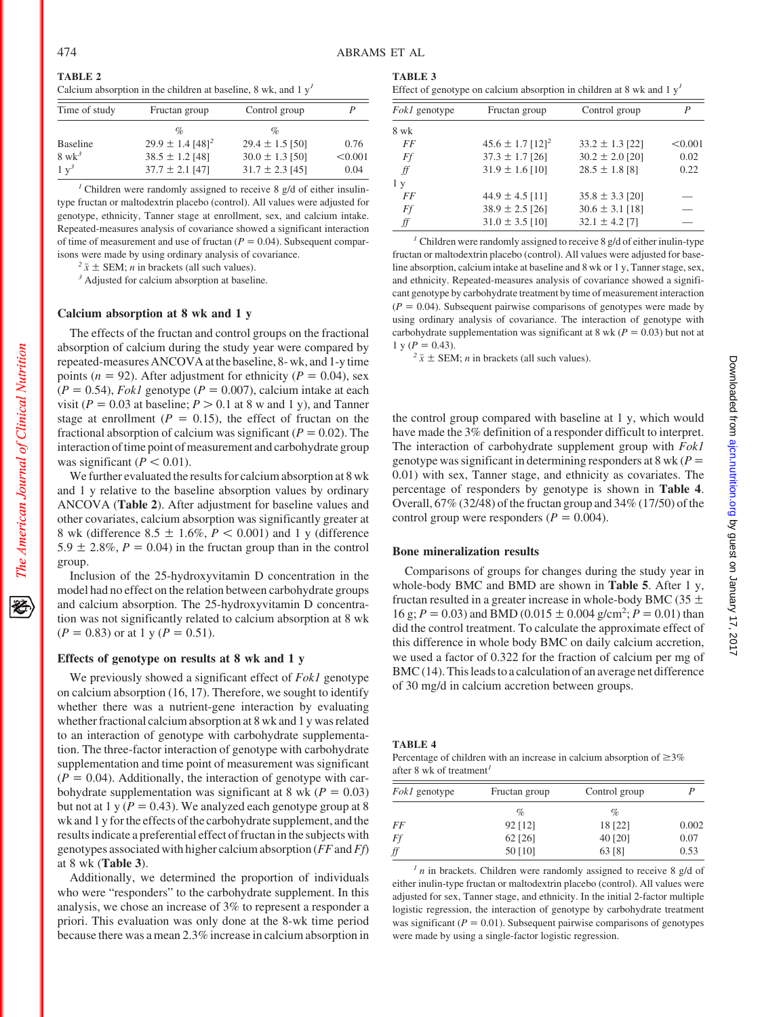**TABLE 2** Calcium absorption in the children at baseline, 8 wk, and  $1 \mathrm{v}^1$ 

| Time of study    | Fructan group                    | Control group       |         |
|------------------|----------------------------------|---------------------|---------|
|                  | $\%$                             | $\%$                |         |
| <b>Baseline</b>  | $29.9 \pm 1.4$ [48] <sup>2</sup> | $29.4 \pm 1.5$ [50] | 0.76    |
| $8 \text{ wk}^3$ | $38.5 \pm 1.2$ [48]              | $30.0 \pm 1.3$ [50] | < 0.001 |
| $1 v^3$          | $37.7 \pm 2.1$ [47]              | $31.7 \pm 2.3$ [45] | 0.04    |

<sup>1</sup> Children were randomly assigned to receive 8 g/d of either insulintype fructan or maltodextrin placebo (control). All values were adjusted for genotype, ethnicity, Tanner stage at enrollment, sex, and calcium intake. Repeated-measures analysis of covariance showed a significant interaction of time of measurement and use of fructan  $(P = 0.04)$ . Subsequent comparisons were made by using ordinary analysis of covariance.

 $2\bar{x} \pm$  SEM; *n* in brackets (all such values). <sup>3</sup> Adjusted for calcium absorption at baseline.

## **Calcium absorption at 8 wk and 1 y**

The effects of the fructan and control groups on the fractional absorption of calcium during the study year were compared by repeated-measures ANCOVA atthe baseline, 8- wk, and 1-ytime points ( $n = 92$ ). After adjustment for ethnicity ( $P = 0.04$ ), sex  $(P = 0.54)$ , *Fok1* genotype  $(P = 0.007)$ , calcium intake at each visit ( $P = 0.03$  at baseline;  $P > 0.1$  at 8 w and 1 y), and Tanner stage at enrollment ( $P = 0.15$ ), the effect of fructan on the fractional absorption of calcium was significant  $(P = 0.02)$ . The interaction of time point of measurement and carbohydrate group was significant  $(P < 0.01)$ .

We further evaluated the results for calcium absorption at 8 wk and 1 y relative to the baseline absorption values by ordinary ANCOVA (**Table 2**). After adjustment for baseline values and other covariates, calcium absorption was significantly greater at 8 wk (difference  $8.5 \pm 1.6\%, P < 0.001$ ) and 1 y (difference 5.9  $\pm$  2.8%,  $P = 0.04$ ) in the fructan group than in the control group.

Inclusion of the 25-hydroxyvitamin D concentration in the model had no effect on the relation between carbohydrate groups and calcium absorption. The 25-hydroxyvitamin D concentration was not significantly related to calcium absorption at 8 wk  $(P = 0.83)$  or at 1 y ( $P = 0.51$ ).

## **Effects of genotype on results at 8 wk and 1 y**

We previously showed a significant effect of *Fok1* genotype on calcium absorption (16, 17). Therefore, we sought to identify whether there was a nutrient-gene interaction by evaluating whether fractional calcium absorption at 8 wk and 1 y was related to an interaction of genotype with carbohydrate supplementation. The three-factor interaction of genotype with carbohydrate supplementation and time point of measurement was significant  $(P = 0.04)$ . Additionally, the interaction of genotype with carbohydrate supplementation was significant at 8 wk ( $P = 0.03$ ) but not at 1 y  $(P = 0.43)$ . We analyzed each genotype group at 8 wk and 1 y for the effects of the carbohydrate supplement, and the results indicate a preferential effect of fructan in the subjects with genotypes associated with higher calcium absorption (*FF*and*Ff*) at 8 wk (**Table 3**).

Additionally, we determined the proportion of individuals who were "responders" to the carbohydrate supplement. In this analysis, we chose an increase of 3% to represent a responder a priori. This evaluation was only done at the 8-wk time period because there was a mean 2.3% increase in calcium absorption in

|--|--|

| Effect of genotype on calcium absorption in children at 8 wk and $1yT$ |  |  |  |
|------------------------------------------------------------------------|--|--|--|
|                                                                        |  |  |  |

| <i>Fokl</i> genotype | Fructan group                    | Control group       |         |
|----------------------|----------------------------------|---------------------|---------|
| 8 wk                 |                                  |                     |         |
| FF                   | $45.6 \pm 1.7$ [12] <sup>2</sup> | $33.2 \pm 1.3$ [22] | < 0.001 |
| Ff                   | $37.3 \pm 1.7$ [26]              | $30.2 \pm 2.0$ [20] | 0.02    |
| ff                   | $31.9 \pm 1.6$ [10]              | $28.5 \pm 1.8$ [8]  | 0.22    |
| 1 y                  |                                  |                     |         |
| FF                   | $44.9 \pm 4.5$ [11]              | $35.8 \pm 3.3$ [20] |         |
| Ff                   | $38.9 \pm 2.5$ [26]              | $30.6 \pm 3.1$ [18] |         |
| ff                   | $31.0 \pm 3.5$ [10]              | $32.1 \pm 4.2$ [7]  |         |

*<sup>1</sup>* Children were randomly assigned to receive 8 g/d of either inulin-type fructan or maltodextrin placebo (control). All values were adjusted for baseline absorption, calcium intake at baseline and 8 wk or 1 y, Tanner stage, sex, and ethnicity. Repeated-measures analysis of covariance showed a significant genotype by carbohydrate treatment by time of measurement interaction  $(P = 0.04)$ . Subsequent pairwise comparisons of genotypes were made by using ordinary analysis of covariance. The interaction of genotype with carbohydrate supplementation was significant at 8 wk ( $P = 0.03$ ) but not at  $1 y (P = 0.43)$ .

 $2\bar{x} \pm \text{SEM}$ ; *n* in brackets (all such values).

the control group compared with baseline at 1 y, which would have made the 3% definition of a responder difficult to interpret. The interaction of carbohydrate supplement group with *Fok1* genotype was significant in determining responders at 8 wk (*P* 0.01) with sex, Tanner stage, and ethnicity as covariates. The percentage of responders by genotype is shown in **Table 4**. Overall, 67% (32/48) of the fructan group and 34% (17/50) of the control group were responders ( $P = 0.004$ ).

#### **Bone mineralization results**

Comparisons of groups for changes during the study year in whole-body BMC and BMD are shown in **Table 5**. After 1 y, fructan resulted in a greater increase in whole-body BMC (35  $\pm$  $16 \text{ g}; P = 0.03$ ) and BMD (0.015  $\pm$  0.004 g/cm<sup>2</sup>;  $\dot{P} = 0.01$ ) than did the control treatment. To calculate the approximate effect of this difference in whole body BMC on daily calcium accretion, we used a factor of 0.322 for the fraction of calcium per mg of  $BMC(14)$ . This leads to a calculation of an average net difference of 30 mg/d in calcium accretion between groups.

## **TABLE 4**

Percentage of children with an increase in calcium absorption of  $\geq$ 3% after 8 wk of treatment*<sup>1</sup>*

| <i>Fokl</i> genotype | Fructan group | Control group |       |
|----------------------|---------------|---------------|-------|
|                      | %             | %             |       |
| FF                   | 92 [12]       | 18 [22]       | 0.002 |
| Ff                   | 62 [26]       | 40 [20]       | 0.07  |
| ff                   | 50 [10]       | 63 [8]        | 0.53  |

 $<sup>1</sup>$  *n* in brackets. Children were randomly assigned to receive 8 g/d of</sup> either inulin-type fructan or maltodextrin placebo (control). All values were adjusted for sex, Tanner stage, and ethnicity. In the initial 2-factor multiple logistic regression, the interaction of genotype by carbohydrate treatment was significant ( $P = 0.01$ ). Subsequent pairwise comparisons of genotypes were made by using a single-factor logistic regression.

The American Journal of Clinical Nutrition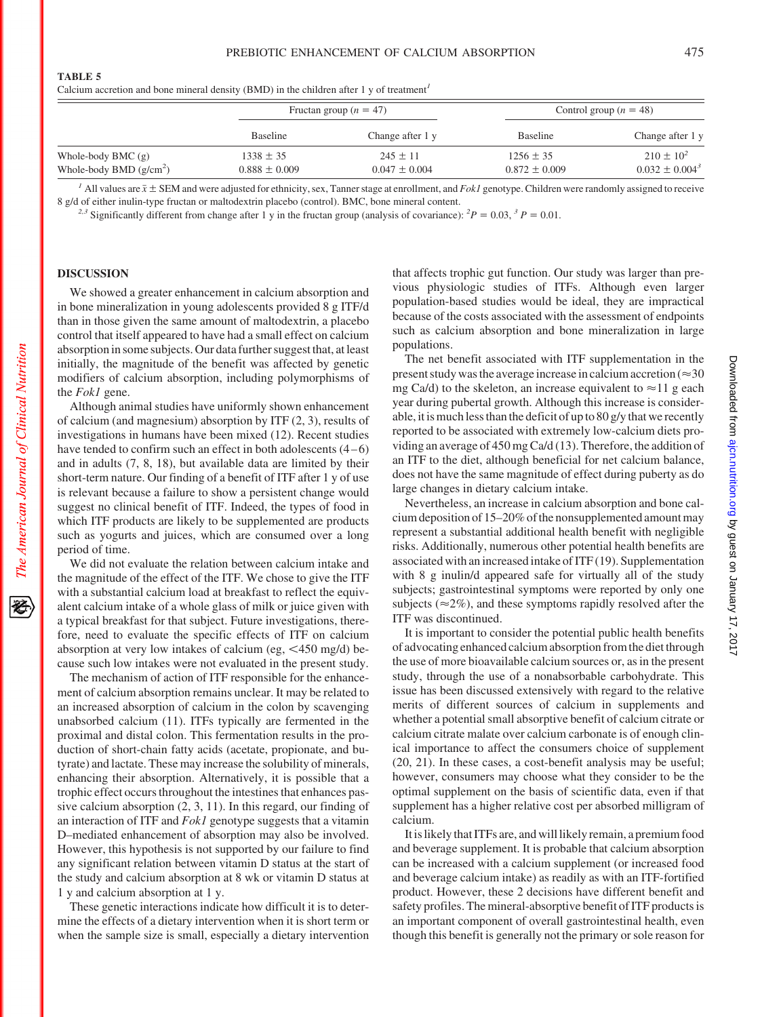by guest on January 17, 2017 [ajcn.nutrition.org](http://ajcn.nutrition.org/) Downloaded from

Downloaded from ajon.nutrition.org by guest on January 17, 2017

**TABLE 5**

Calcium accretion and bone mineral density (BMD) in the children after 1 y of treatment*<sup>1</sup>*

|                                                   |                                    | Fructan group $(n = 47)$          |                                    | Control group ( $n = 48$ )              |  |
|---------------------------------------------------|------------------------------------|-----------------------------------|------------------------------------|-----------------------------------------|--|
|                                                   | Baseline                           | Change after 1 y                  | Baseline                           | Change after 1 y                        |  |
| Whole-body BMC $(g)$<br>Whole-body BMD $(g/cm^2)$ | $1338 \pm 35$<br>$0.888 \pm 0.009$ | $245 \pm 11$<br>$0.047 \pm 0.004$ | $1256 \pm 35$<br>$0.872 \pm 0.009$ | $210 \pm 10^{2}$<br>$0.032 \pm 0.004^3$ |  |

 $<sup>I</sup>$  All values are  $\bar{x} \pm$  SEM and were adjusted for ethnicity, sex, Tanner stage at enrollment, and *Fok1* genotype. Children were randomly assigned to receive</sup> 8 g/d of either inulin-type fructan or maltodextrin placebo (control). BMC, bone mineral content.

<sup>2,3</sup> Significantly different from change after 1 y in the fructan group (analysis of covariance):  ${}^{2}P = 0.03$ ,  ${}^{3}P = 0.01$ .

## **DISCUSSION**

We showed a greater enhancement in calcium absorption and in bone mineralization in young adolescents provided 8 g ITF/d than in those given the same amount of maltodextrin, a placebo control that itself appeared to have had a small effect on calcium absorption in some subjects. Our data further suggest that, at least initially, the magnitude of the benefit was affected by genetic modifiers of calcium absorption, including polymorphisms of the *Fok1* gene.

Although animal studies have uniformly shown enhancement of calcium (and magnesium) absorption by ITF (2, 3), results of investigations in humans have been mixed (12). Recent studies have tended to confirm such an effect in both adolescents  $(4-6)$ and in adults (7, 8, 18), but available data are limited by their short-term nature. Our finding of a benefit of ITF after 1 y of use is relevant because a failure to show a persistent change would suggest no clinical benefit of ITF. Indeed, the types of food in which ITF products are likely to be supplemented are products such as yogurts and juices, which are consumed over a long period of time.

We did not evaluate the relation between calcium intake and the magnitude of the effect of the ITF. We chose to give the ITF with a substantial calcium load at breakfast to reflect the equivalent calcium intake of a whole glass of milk or juice given with a typical breakfast for that subject. Future investigations, therefore, need to evaluate the specific effects of ITF on calcium absorption at very low intakes of calcium (eg,  $\leq 450$  mg/d) because such low intakes were not evaluated in the present study.

The mechanism of action of ITF responsible for the enhancement of calcium absorption remains unclear. It may be related to an increased absorption of calcium in the colon by scavenging unabsorbed calcium (11). ITFs typically are fermented in the proximal and distal colon. This fermentation results in the production of short-chain fatty acids (acetate, propionate, and butyrate) and lactate. These may increase the solubility of minerals, enhancing their absorption. Alternatively, it is possible that a trophic effect occurs throughout the intestines that enhances passive calcium absorption (2, 3, 11). In this regard, our finding of an interaction of ITF and *Fok1* genotype suggests that a vitamin D–mediated enhancement of absorption may also be involved. However, this hypothesis is not supported by our failure to find any significant relation between vitamin D status at the start of the study and calcium absorption at 8 wk or vitamin D status at 1 y and calcium absorption at 1 y.

These genetic interactions indicate how difficult it is to determine the effects of a dietary intervention when it is short term or when the sample size is small, especially a dietary intervention that affects trophic gut function. Our study was larger than previous physiologic studies of ITFs. Although even larger population-based studies would be ideal, they are impractical because of the costs associated with the assessment of endpoints such as calcium absorption and bone mineralization in large populations.

The net benefit associated with ITF supplementation in the present study was the average increase in calcium accretion ( $\approx$ 30 mg Ca/d) to the skeleton, an increase equivalent to  $\approx$ 11 g each year during pubertal growth. Although this increase is considerable, it is much less than the deficit of up to 80 g/y that we recently reported to be associated with extremely low-calcium diets providing an average of 450 mg Ca/d (13). Therefore, the addition of an ITF to the diet, although beneficial for net calcium balance, does not have the same magnitude of effect during puberty as do large changes in dietary calcium intake.

Nevertheless, an increase in calcium absorption and bone calcium deposition of  $15-20\%$  of the nonsupplemented amount may represent a substantial additional health benefit with negligible risks. Additionally, numerous other potential health benefits are associated with an increased intake of ITF (19). Supplementation with 8 g inulin/d appeared safe for virtually all of the study subjects; gastrointestinal symptoms were reported by only one subjects ( $\approx$ 2%), and these symptoms rapidly resolved after the ITF was discontinued.

It is important to consider the potential public health benefits of advocating enhanced calcium absorption fromthe dietthrough the use of more bioavailable calcium sources or, as in the present study, through the use of a nonabsorbable carbohydrate. This issue has been discussed extensively with regard to the relative merits of different sources of calcium in supplements and whether a potential small absorptive benefit of calcium citrate or calcium citrate malate over calcium carbonate is of enough clinical importance to affect the consumers choice of supplement (20, 21). In these cases, a cost-benefit analysis may be useful; however, consumers may choose what they consider to be the optimal supplement on the basis of scientific data, even if that supplement has a higher relative cost per absorbed milligram of calcium.

Itislikelythat ITFs are, and willlikely remain, a premium food and beverage supplement. It is probable that calcium absorption can be increased with a calcium supplement (or increased food and beverage calcium intake) as readily as with an ITF-fortified product. However, these 2 decisions have different benefit and safety profiles. The mineral-absorptive benefit of ITF products is an important component of overall gastrointestinal health, even though this benefit is generally not the primary or sole reason for